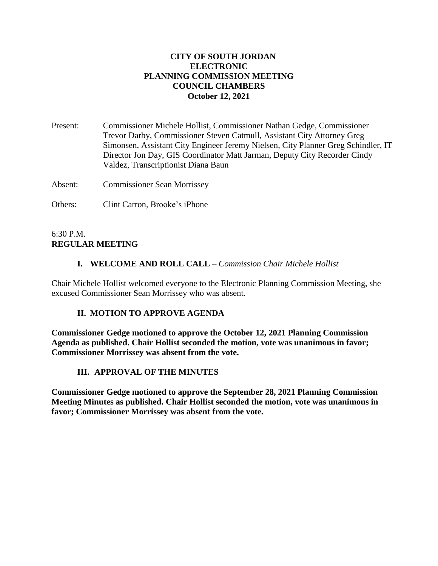## **CITY OF SOUTH JORDAN ELECTRONIC PLANNING COMMISSION MEETING COUNCIL CHAMBERS October 12, 2021**

Present: Commissioner Michele Hollist, Commissioner Nathan Gedge, Commissioner Trevor Darby, Commissioner Steven Catmull, Assistant City Attorney Greg Simonsen, Assistant City Engineer Jeremy Nielsen, City Planner Greg Schindler, IT Director Jon Day, GIS Coordinator Matt Jarman, Deputy City Recorder Cindy Valdez, Transcriptionist Diana Baun

Absent: Commissioner Sean Morrissey

Others: Clint Carron, Brooke's iPhone

### 6:30 P.M. **REGULAR MEETING**

### **I. WELCOME AND ROLL CALL** – *Commission Chair Michele Hollist*

Chair Michele Hollist welcomed everyone to the Electronic Planning Commission Meeting, she excused Commissioner Sean Morrissey who was absent.

# **II. MOTION TO APPROVE AGENDA**

**Commissioner Gedge motioned to approve the October 12, 2021 Planning Commission Agenda as published. Chair Hollist seconded the motion, vote was unanimous in favor; Commissioner Morrissey was absent from the vote.**

# **III. APPROVAL OF THE MINUTES**

**Commissioner Gedge motioned to approve the September 28, 2021 Planning Commission Meeting Minutes as published. Chair Hollist seconded the motion, vote was unanimous in favor; Commissioner Morrissey was absent from the vote.**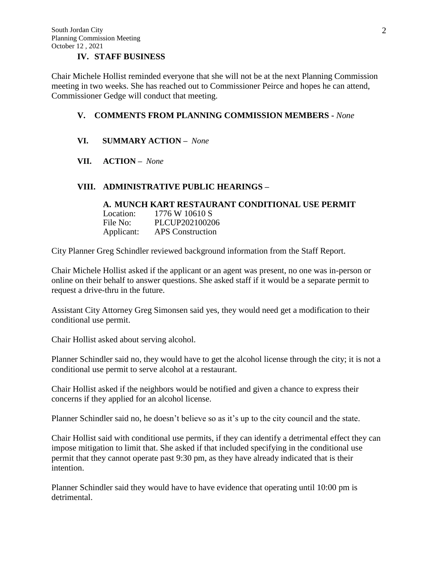### **IV. STAFF BUSINESS**

Chair Michele Hollist reminded everyone that she will not be at the next Planning Commission meeting in two weeks. She has reached out to Commissioner Peirce and hopes he can attend, Commissioner Gedge will conduct that meeting.

### **V. COMMENTS FROM PLANNING COMMISSION MEMBERS -** *None*

### **VI. SUMMARY ACTION –** *None*

#### **VII. ACTION –** *None*

#### **VIII. ADMINISTRATIVE PUBLIC HEARINGS –**

#### **A. MUNCH KART RESTAURANT CONDITIONAL USE PERMIT** Location: 1776 W 10610 S File No: PLCUP202100206 Applicant: APS Construction

City Planner Greg Schindler reviewed background information from the Staff Report.

Chair Michele Hollist asked if the applicant or an agent was present, no one was in-person or online on their behalf to answer questions. She asked staff if it would be a separate permit to request a drive-thru in the future.

Assistant City Attorney Greg Simonsen said yes, they would need get a modification to their conditional use permit.

Chair Hollist asked about serving alcohol.

Planner Schindler said no, they would have to get the alcohol license through the city; it is not a conditional use permit to serve alcohol at a restaurant.

Chair Hollist asked if the neighbors would be notified and given a chance to express their concerns if they applied for an alcohol license.

Planner Schindler said no, he doesn't believe so as it's up to the city council and the state.

Chair Hollist said with conditional use permits, if they can identify a detrimental effect they can impose mitigation to limit that. She asked if that included specifying in the conditional use permit that they cannot operate past 9:30 pm, as they have already indicated that is their intention.

Planner Schindler said they would have to have evidence that operating until 10:00 pm is detrimental.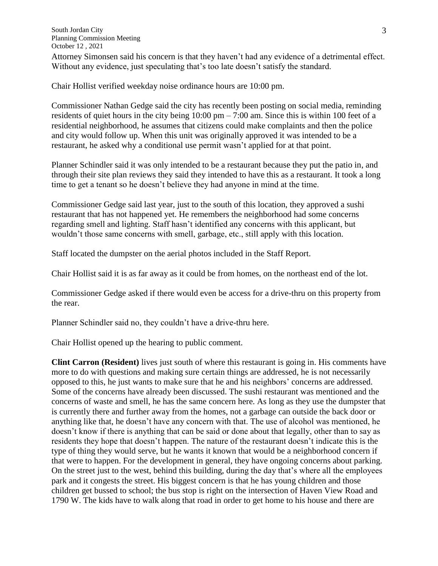Attorney Simonsen said his concern is that they haven't had any evidence of a detrimental effect. Without any evidence, just speculating that's too late doesn't satisfy the standard.

Chair Hollist verified weekday noise ordinance hours are 10:00 pm.

Commissioner Nathan Gedge said the city has recently been posting on social media, reminding residents of quiet hours in the city being 10:00 pm – 7:00 am. Since this is within 100 feet of a residential neighborhood, he assumes that citizens could make complaints and then the police and city would follow up. When this unit was originally approved it was intended to be a restaurant, he asked why a conditional use permit wasn't applied for at that point.

Planner Schindler said it was only intended to be a restaurant because they put the patio in, and through their site plan reviews they said they intended to have this as a restaurant. It took a long time to get a tenant so he doesn't believe they had anyone in mind at the time.

Commissioner Gedge said last year, just to the south of this location, they approved a sushi restaurant that has not happened yet. He remembers the neighborhood had some concerns regarding smell and lighting. Staff hasn't identified any concerns with this applicant, but wouldn't those same concerns with smell, garbage, etc., still apply with this location.

Staff located the dumpster on the aerial photos included in the Staff Report.

Chair Hollist said it is as far away as it could be from homes, on the northeast end of the lot.

Commissioner Gedge asked if there would even be access for a drive-thru on this property from the rear.

Planner Schindler said no, they couldn't have a drive-thru here.

Chair Hollist opened up the hearing to public comment.

**Clint Carron (Resident)** lives just south of where this restaurant is going in. His comments have more to do with questions and making sure certain things are addressed, he is not necessarily opposed to this, he just wants to make sure that he and his neighbors' concerns are addressed. Some of the concerns have already been discussed. The sushi restaurant was mentioned and the concerns of waste and smell, he has the same concern here. As long as they use the dumpster that is currently there and further away from the homes, not a garbage can outside the back door or anything like that, he doesn't have any concern with that. The use of alcohol was mentioned, he doesn't know if there is anything that can be said or done about that legally, other than to say as residents they hope that doesn't happen. The nature of the restaurant doesn't indicate this is the type of thing they would serve, but he wants it known that would be a neighborhood concern if that were to happen. For the development in general, they have ongoing concerns about parking. On the street just to the west, behind this building, during the day that's where all the employees park and it congests the street. His biggest concern is that he has young children and those children get bussed to school; the bus stop is right on the intersection of Haven View Road and 1790 W. The kids have to walk along that road in order to get home to his house and there are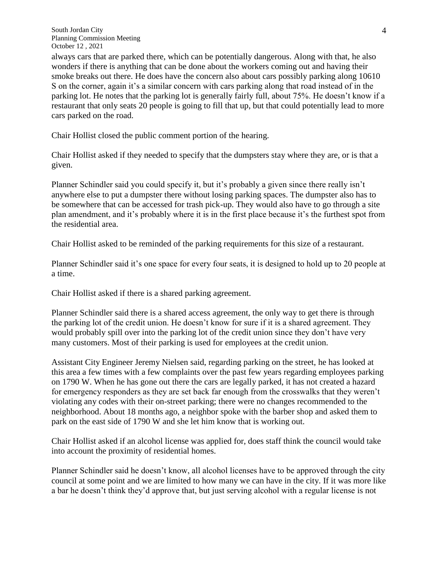South Jordan City Planning Commission Meeting October 12 , 2021

always cars that are parked there, which can be potentially dangerous. Along with that, he also wonders if there is anything that can be done about the workers coming out and having their smoke breaks out there. He does have the concern also about cars possibly parking along 10610 S on the corner, again it's a similar concern with cars parking along that road instead of in the parking lot. He notes that the parking lot is generally fairly full, about 75%. He doesn't know if a restaurant that only seats 20 people is going to fill that up, but that could potentially lead to more cars parked on the road.

Chair Hollist closed the public comment portion of the hearing.

Chair Hollist asked if they needed to specify that the dumpsters stay where they are, or is that a given.

Planner Schindler said you could specify it, but it's probably a given since there really isn't anywhere else to put a dumpster there without losing parking spaces. The dumpster also has to be somewhere that can be accessed for trash pick-up. They would also have to go through a site plan amendment, and it's probably where it is in the first place because it's the furthest spot from the residential area.

Chair Hollist asked to be reminded of the parking requirements for this size of a restaurant.

Planner Schindler said it's one space for every four seats, it is designed to hold up to 20 people at a time.

Chair Hollist asked if there is a shared parking agreement.

Planner Schindler said there is a shared access agreement, the only way to get there is through the parking lot of the credit union. He doesn't know for sure if it is a shared agreement. They would probably spill over into the parking lot of the credit union since they don't have very many customers. Most of their parking is used for employees at the credit union.

Assistant City Engineer Jeremy Nielsen said, regarding parking on the street, he has looked at this area a few times with a few complaints over the past few years regarding employees parking on 1790 W. When he has gone out there the cars are legally parked, it has not created a hazard for emergency responders as they are set back far enough from the crosswalks that they weren't violating any codes with their on-street parking; there were no changes recommended to the neighborhood. About 18 months ago, a neighbor spoke with the barber shop and asked them to park on the east side of 1790 W and she let him know that is working out.

Chair Hollist asked if an alcohol license was applied for, does staff think the council would take into account the proximity of residential homes.

Planner Schindler said he doesn't know, all alcohol licenses have to be approved through the city council at some point and we are limited to how many we can have in the city. If it was more like a bar he doesn't think they'd approve that, but just serving alcohol with a regular license is not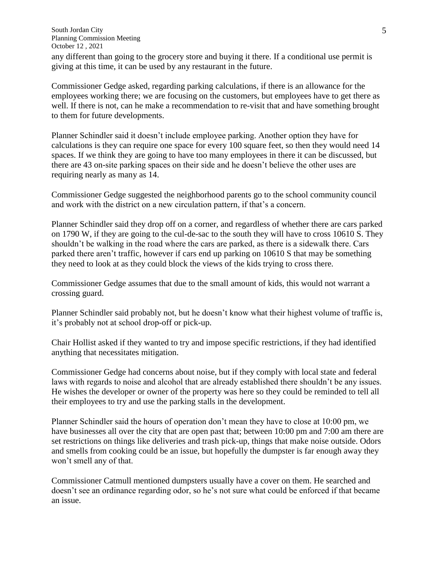South Jordan City Planning Commission Meeting October 12 , 2021

any different than going to the grocery store and buying it there. If a conditional use permit is giving at this time, it can be used by any restaurant in the future.

Commissioner Gedge asked, regarding parking calculations, if there is an allowance for the employees working there; we are focusing on the customers, but employees have to get there as well. If there is not, can he make a recommendation to re-visit that and have something brought to them for future developments.

Planner Schindler said it doesn't include employee parking. Another option they have for calculations is they can require one space for every 100 square feet, so then they would need 14 spaces. If we think they are going to have too many employees in there it can be discussed, but there are 43 on-site parking spaces on their side and he doesn't believe the other uses are requiring nearly as many as 14.

Commissioner Gedge suggested the neighborhood parents go to the school community council and work with the district on a new circulation pattern, if that's a concern.

Planner Schindler said they drop off on a corner, and regardless of whether there are cars parked on 1790 W, if they are going to the cul-de-sac to the south they will have to cross 10610 S. They shouldn't be walking in the road where the cars are parked, as there is a sidewalk there. Cars parked there aren't traffic, however if cars end up parking on 10610 S that may be something they need to look at as they could block the views of the kids trying to cross there.

Commissioner Gedge assumes that due to the small amount of kids, this would not warrant a crossing guard.

Planner Schindler said probably not, but he doesn't know what their highest volume of traffic is, it's probably not at school drop-off or pick-up.

Chair Hollist asked if they wanted to try and impose specific restrictions, if they had identified anything that necessitates mitigation.

Commissioner Gedge had concerns about noise, but if they comply with local state and federal laws with regards to noise and alcohol that are already established there shouldn't be any issues. He wishes the developer or owner of the property was here so they could be reminded to tell all their employees to try and use the parking stalls in the development.

Planner Schindler said the hours of operation don't mean they have to close at 10:00 pm, we have businesses all over the city that are open past that; between 10:00 pm and 7:00 am there are set restrictions on things like deliveries and trash pick-up, things that make noise outside. Odors and smells from cooking could be an issue, but hopefully the dumpster is far enough away they won't smell any of that.

Commissioner Catmull mentioned dumpsters usually have a cover on them. He searched and doesn't see an ordinance regarding odor, so he's not sure what could be enforced if that became an issue.